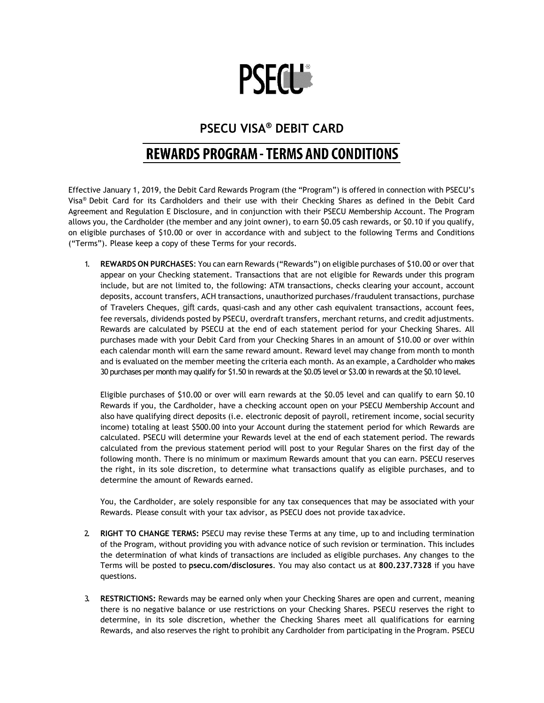

## **PSECU VISA® DEBIT CARD**

## **REWARDS PROGRAM - TERMS AND CONDITIONS**

Effective January 1, 2019, the Debit Card Rewards Program (the "Program") is offered in connection with PSECU's Visa® Debit Card for its Cardholders and their use with their Checking Shares as defined in the Debit Card Agreement and Regulation E Disclosure, and in conjunction with their PSECU Membership Account. The Program allows you, the Cardholder (the member and any joint owner), to earn \$0.05 cash rewards, or \$0.10 if you qualify, on eligible purchases of \$10.00 or over in accordance with and subject to the following Terms and Conditions ("Terms"). Please keep a copy of these Terms for your records.

1. **REWARDS ON PURCHASES**: You can earn Rewards ("Rewards") on eligible purchases of \$10.00 or overthat appear on your Checking statement. Transactions that are not eligible for Rewards under this program include, but are not limited to, the following: ATM transactions, checks clearing your account, account deposits, account transfers, ACH transactions, unauthorized purchases/fraudulent transactions, purchase of Travelers Cheques, gift cards, quasi-cash and any other cash equivalent transactions, account fees, fee reversals, dividends posted by PSECU, overdraft transfers, merchant returns, and credit adjustments. Rewards are calculated by PSECU at the end of each statement period for your Checking Shares. All purchases made with your Debit Card from your Checking Shares in an amount of \$10.00 or over within each calendar month will earn the same reward amount. Reward level may change from month to month and is evaluated on the member meeting the criteria each month. As an example, a Cardholder who makes 30 purchases per month may qualify for \$1.50 in rewards at the \$0.05 level or \$3.00 in rewards at the \$0.10 level.

Eligible purchases of \$10.00 or over will earn rewards at the \$0.05 level and can qualify to earn \$0.10 Rewards if you, the Cardholder, have a checking account open on your PSECU Membership Account and also have qualifying direct deposits (i.e. electronic deposit of payroll, retirement income, social security income) totaling at least \$500.00 into your Account during the statement period for which Rewards are calculated. PSECU will determine your Rewards level at the end of each statement period. The rewards calculated from the previous statement period will post to your Regular Shares on the first day of the following month. There is no minimum or maximum Rewards amount that you can earn. PSECU reserves the right, in its sole discretion, to determine what transactions qualify as eligible purchases, and to determine the amount of Rewards earned.

You, the Cardholder, are solely responsible for any tax consequences that may be associated with your Rewards. Please consult with your tax advisor, as PSECU does not provide taxadvice.

- 2. **RIGHT TO CHANGE TERMS:** PSECU may revise these Terms at any time, up to and including termination of the Program, without providing you with advance notice of such revision or termination. This includes the determination of what kinds of transactions are included as eligible purchases. Any changes to the Terms will be posted to **psecu.com/disclosures**. You may also contact us at **800.237.7328** if you have questions.
- 3. **RESTRICTIONS:** Rewards may be earned only when your Checking Shares are open and current, meaning there is no negative balance or use restrictions on your Checking Shares. PSECU reserves the right to determine, in its sole discretion, whether the Checking Shares meet all qualifications for earning Rewards, and also reserves the right to prohibit any Cardholder from participating in the Program. PSECU